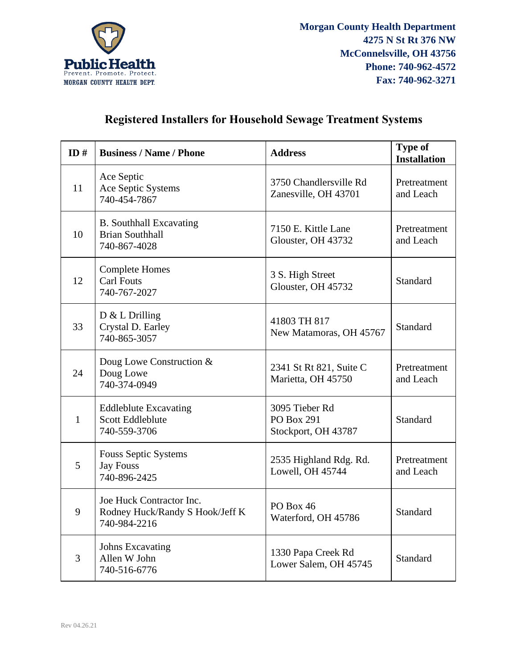

## **Registered Installers for Household Sewage Treatment Systems**

| ID#          | <b>Business / Name / Phone</b>                                              | <b>Address</b>                                      | <b>Type of</b><br><b>Installation</b> |
|--------------|-----------------------------------------------------------------------------|-----------------------------------------------------|---------------------------------------|
| 11           | Ace Septic<br>Ace Septic Systems<br>740-454-7867                            | 3750 Chandlersville Rd<br>Zanesville, OH 43701      | Pretreatment<br>and Leach             |
| 10           | <b>B.</b> Southhall Excavating<br><b>Brian Southhall</b><br>740-867-4028    | 7150 E. Kittle Lane<br>Glouster, OH 43732           | Pretreatment<br>and Leach             |
| 12           | <b>Complete Homes</b><br><b>Carl Fouts</b><br>740-767-2027                  | 3 S. High Street<br>Glouster, OH 45732              | Standard                              |
| 33           | $D & L$ Drilling<br>Crystal D. Earley<br>740-865-3057                       | 41803 TH 817<br>New Matamoras, OH 45767             | <b>Standard</b>                       |
| 24           | Doug Lowe Construction &<br>Doug Lowe<br>740-374-0949                       | 2341 St Rt 821, Suite C<br>Marietta, OH 45750       | Pretreatment<br>and Leach             |
| $\mathbf{1}$ | <b>Eddleblute Excavating</b><br><b>Scott Eddleblute</b><br>740-559-3706     | 3095 Tieber Rd<br>PO Box 291<br>Stockport, OH 43787 | <b>Standard</b>                       |
| 5            | Fouss Septic Systems<br><b>Jay Fouss</b><br>740-896-2425                    | 2535 Highland Rdg. Rd.<br>Lowell, OH 45744          | Pretreatment<br>and Leach             |
| 9            | Joe Huck Contractor Inc.<br>Rodney Huck/Randy S Hook/Jeff K<br>740-984-2216 | PO Box 46<br>Waterford, OH 45786                    | Standard                              |
| 3            | <b>Johns Excavating</b><br>Allen W John<br>740-516-6776                     | 1330 Papa Creek Rd<br>Lower Salem, OH 45745         | <b>Standard</b>                       |